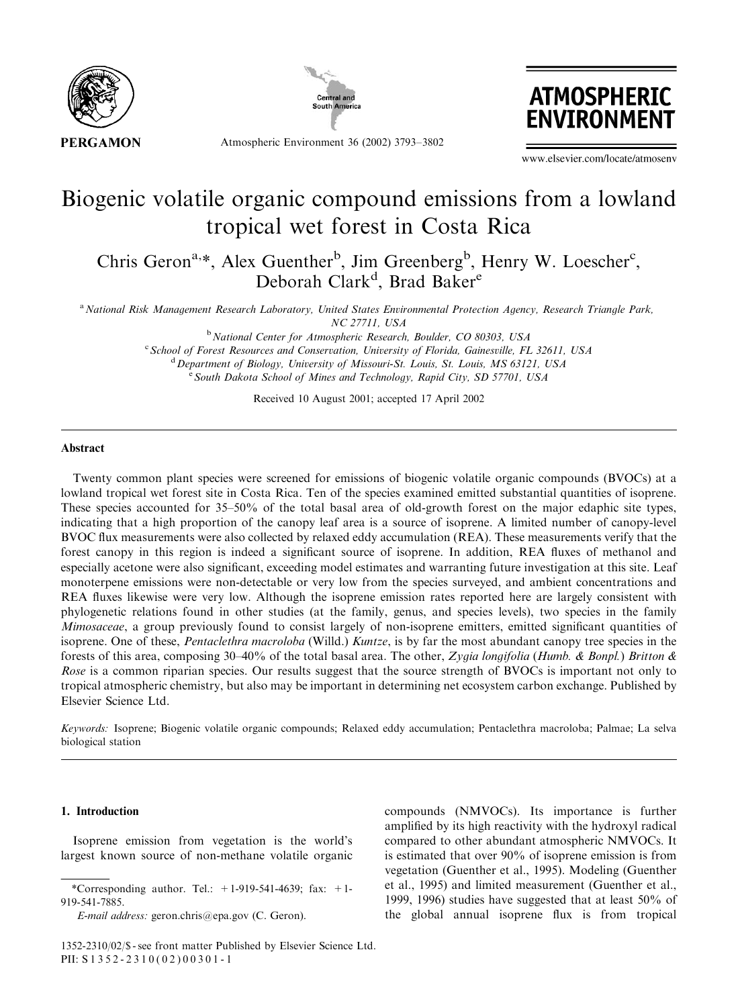



Atmospheric Environment 36 (2002) 3793–3802



www.elsevier.com/locate/atmosenv

# Biogenic volatile organic compound emissions from a lowland tropical wet forest in Costa Rica

Chris Geron<sup>a,\*</sup>, Alex Guenther<sup>b</sup>, Jim Greenberg<sup>b</sup>, Henry W. Loescher<sup>c</sup>, Deborah Clark<sup>d</sup>, Brad Baker<sup>e</sup>

a National Risk Management Research Laboratory, United States Environmental Protection Agency, Research Triangle Park, NC 27711, USA

> <sup>b</sup> National Center for Atmospheric Research, Boulder, CO 80303, USA <sup>c</sup> School of Forest Resources and Conservation, University of Florida, Gainesville, FL 32611, USA <sup>d</sup> Department of Biology, University of Missouri-St. Louis, St. Louis, MS 63121, USA <sup>e</sup> South Dakota School of Mines and Technology, Rapid City, SD 57701, USA

> > Received 10 August 2001; accepted 17 April 2002

## Abstract

Twenty common plant species were screened for emissions of biogenic volatile organic compounds (BVOCs) at a lowland tropical wet forest site in Costa Rica. Ten of the species examined emitted substantial quantities of isoprene. These species accounted for 35–50% of the total basal area of old-growth forest on the major edaphic site types, indicating that a high proportion of the canopy leaf area is a source of isoprene. A limited number of canopy-level BVOC flux measurements were also collected by relaxed eddy accumulation (REA). These measurements verify that the forest canopy in this region is indeed a significant source of isoprene. In addition, REA fluxes of methanol and especially acetone were also significant, exceeding model estimates and warranting future investigation at this site. Leaf monoterpene emissions were non-detectable or very low from the species surveyed, and ambient concentrations and REA fluxes likewise were very low. Although the isoprene emission rates reported here are largely consistent with phylogenetic relations found in other studies (at the family, genus, and species levels), two species in the family Mimosaceae, a group previously found to consist largely of non-isoprene emitters, emitted significant quantities of isoprene. One of these, *Pentaclethra macroloba* (Willd.) Kuntze, is by far the most abundant canopy tree species in the forests of this area, composing  $30-40\%$  of the total basal area. The other, Zygia longifolia (Humb. & Bonpl.) Britton & Rose is a common riparian species. Our results suggest that the source strength of BVOCs is important not only to tropical atmospheric chemistry, but also may be important in determining net ecosystem carbon exchange. Published by Elsevier Science Ltd.

Keywords: Isoprene; Biogenic volatile organic compounds; Relaxed eddy accumulation; Pentaclethra macroloba; Palmae; La selva biological station

## 1. Introduction

Isoprene emission from vegetation is the world's largest known source of non-methane volatile organic

compounds (NMVOCs). Its importance is further amplified by its high reactivity with the hydroxyl radical compared to other abundant atmospheric NMVOCs. It is estimated that over 90% of isoprene emission is from vegetation (Guenther et al., 1995). Modeling (Guenther et al., 1995) and limited measurement (Guenther et al., 1999, 1996) studies have suggested that at least 50% of the global annual isoprene flux is from tropical

<sup>\*</sup>Corresponding author. Tel.:  $+1-919-541-4639$ ; fax:  $+1-$ 919-541-7885.

E-mail address: geron.chris@epa.gov (C. Geron).

<sup>1352-2310/02/\$ -</sup> see front matter Published by Elsevier Science Ltd. PII: S 1352-2310(02)00301-1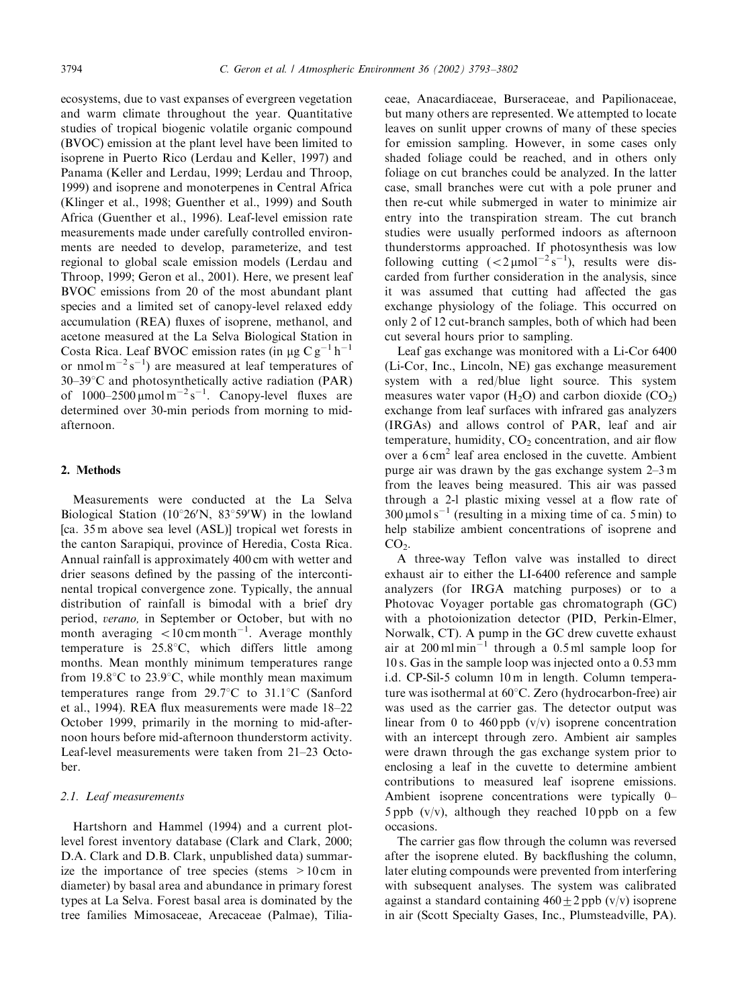ecosystems, due to vast expanses of evergreen vegetation and warm climate throughout the year. Quantitative studies of tropical biogenic volatile organic compound (BVOC) emission at the plant level have been limited to isoprene in Puerto Rico (Lerdau and Keller, 1997) and Panama (Keller and Lerdau, 1999; Lerdau and Throop, 1999) and isoprene and monoterpenes in Central Africa (Klinger et al., 1998; Guenther et al., 1999) and South Africa (Guenther et al., 1996). Leaf-level emission rate measurements made under carefully controlled environments are needed to develop, parameterize, and test regional to global scale emission models (Lerdau and Throop, 1999; Geron et al., 2001). Here, we present leaf BVOC emissions from 20 of the most abundant plant species and a limited set of canopy-level relaxed eddy accumulation (REA) fluxes of isoprene, methanol, and acetone measured at the La Selva Biological Station in Costa Rica. Leaf BVOC emission rates (in  $\mu$ g Cg<sup>-1</sup> h<sup>-1</sup> or nmol  $m^{-2} s^{-1}$ ) are measured at leaf temperatures of  $30-39$ °C and photosynthetically active radiation (PAR) of  $1000-2500 \mu$ mol m<sup>-2</sup>s<sup>-1</sup>. Canopy-level fluxes are determined over 30-min periods from morning to midafternoon.

#### 2. Methods

Measurements were conducted at the La Selva Biological Station ( $10^{\circ}26'N$ ,  $83^{\circ}59'W$ ) in the lowland [ca. 35 m above sea level (ASL)] tropical wet forests in the canton Sarapiqui, province of Heredia, Costa Rica. Annual rainfall is approximately 400 cm with wetter and drier seasons defined by the passing of the intercontinental tropical convergence zone. Typically, the annual distribution of rainfall is bimodal with a brief dry period, verano, in September or October, but with no month averaging  $\lt 10 \text{ cm}$  month<sup>-1</sup>. Average monthly temperature is  $25.8^{\circ}$ C, which differs little among months. Mean monthly minimum temperatures range from 19.8 $\degree$ C to 23.9 $\degree$ C, while monthly mean maximum temperatures range from  $29.7^{\circ}$ C to  $31.1^{\circ}$ C (Sanford et al., 1994). REA flux measurements were made 18–22 October 1999, primarily in the morning to mid-afternoon hours before mid-afternoon thunderstorm activity. Leaf-level measurements were taken from 21–23 October.

# 2.1. Leaf measurements

Hartshorn and Hammel (1994) and a current plotlevel forest inventory database (Clark and Clark, 2000; D.A. Clark and D.B. Clark, unpublished data) summarize the importance of tree species (stems  $>10 \text{ cm}$  in diameter) by basal area and abundance in primary forest types at La Selva. Forest basal area is dominated by the tree families Mimosaceae, Arecaceae (Palmae), Tilia-

ceae, Anacardiaceae, Burseraceae, and Papilionaceae, but many others are represented. We attempted to locate leaves on sunlit upper crowns of many of these species for emission sampling. However, in some cases only shaded foliage could be reached, and in others only foliage on cut branches could be analyzed. In the latter case, small branches were cut with a pole pruner and then re-cut while submerged in water to minimize air entry into the transpiration stream. The cut branch studies were usually performed indoors as afternoon thunderstorms approached. If photosynthesis was low following cutting  $(<2 \mu mol^{-2} s^{-1})$ , results were discarded from further consideration in the analysis, since it was assumed that cutting had affected the gas exchange physiology of the foliage. This occurred on only 2 of 12 cut-branch samples, both of which had been cut several hours prior to sampling.

Leaf gas exchange was monitored with a Li-Cor 6400 (Li-Cor, Inc., Lincoln, NE) gas exchange measurement system with a red/blue light source. This system measures water vapor  $(H_2O)$  and carbon dioxide  $(CO_2)$ exchange from leaf surfaces with infrared gas analyzers (IRGAs) and allows control of PAR, leaf and air temperature, humidity,  $CO<sub>2</sub>$  concentration, and air flow over a  $6 \text{ cm}^2$  leaf area enclosed in the cuvette. Ambient purge air was drawn by the gas exchange system 2–3 m from the leaves being measured. This air was passed through a 2-l plastic mixing vessel at a flowrate of  $300 \mu$ mol s<sup>-1</sup> (resulting in a mixing time of ca. 5 min) to help stabilize ambient concentrations of isoprene and  $CO<sub>2</sub>$ .

A three-way Teflon valve was installed to direct exhaust air to either the LI-6400 reference and sample analyzers (for IRGA matching purposes) or to a Photovac Voyager portable gas chromatograph (GC) with a photoionization detector (PID, Perkin-Elmer, Norwalk, CT). A pump in the GC drew cuvette exhaust air at  $200 \text{ m} \text{ l} \text{min}^{-1}$  through a 0.5 ml sample loop for 10 s. Gas in the sample loop was injected onto a 0.53 mm i.d. CP-Sil-5 column 10 m in length. Column temperature was isothermal at 60°C. Zero (hydrocarbon-free) air was used as the carrier gas. The detector output was linear from 0 to 460 ppb  $(v/v)$  isoprene concentration with an intercept through zero. Ambient air samples were drawn through the gas exchange system prior to enclosing a leaf in the cuvette to determine ambient contributions to measured leaf isoprene emissions. Ambient isoprene concentrations were typically 0– 5 ppb  $(v/v)$ , although they reached 10 ppb on a few occasions.

The carrier gas flow through the column was reversed after the isoprene eluted. By backflushing the column, later eluting compounds were prevented from interfering with subsequent analyses. The system was calibrated against a standard containing  $460 \pm 2$  ppb (v/v) isoprene in air (Scott Specialty Gases, Inc., Plumsteadville, PA).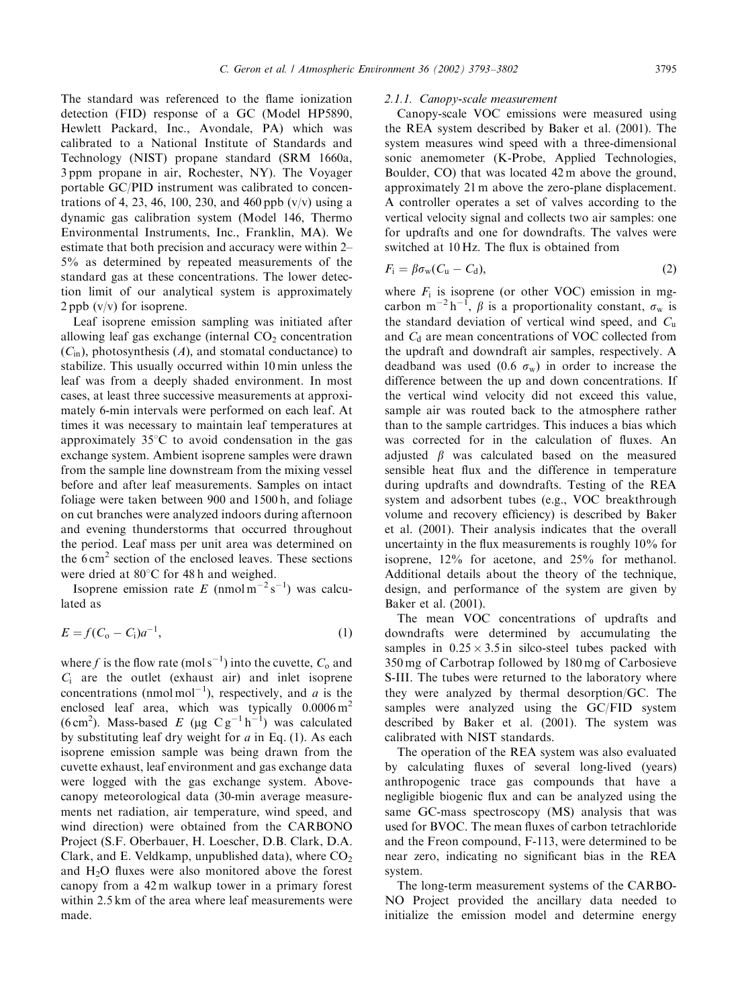The standard was referenced to the flame ionization detection (FID) response of a GC (Model HP5890, Hewlett Packard, Inc., Avondale, PA) which was calibrated to a National Institute of Standards and Technology (NIST) propane standard (SRM 1660a, 3 ppm propane in air, Rochester, NY). The Voyager portable GC/PID instrument was calibrated to concentrations of 4, 23, 46, 100, 230, and 460 ppb  $(v/v)$  using a dynamic gas calibration system (Model 146, Thermo Environmental Instruments, Inc., Franklin, MA). We estimate that both precision and accuracy were within 2– 5% as determined by repeated measurements of the standard gas at these concentrations. The lower detection limit of our analytical system is approximately  $2$  ppb  $(v/v)$  for isoprene.

Leaf isoprene emission sampling was initiated after allowing leaf gas exchange (internal  $CO<sub>2</sub>$  concentration  $(C<sub>in</sub>)$ , photosynthesis  $(A)$ , and stomatal conductance) to stabilize. This usually occurred within 10 min unless the leaf was from a deeply shaded environment. In most cases, at least three successive measurements at approximately 6-min intervals were performed on each leaf. At times it was necessary to maintain leaf temperatures at approximately  $35^{\circ}$ C to avoid condensation in the gas exchange system. Ambient isoprene samples were drawn from the sample line downstream from the mixing vessel before and after leaf measurements. Samples on intact foliage were taken between 900 and 1500 h, and foliage on cut branches were analyzed indoors during afternoon and evening thunderstorms that occurred throughout the period. Leaf mass per unit area was determined on the  $6 \text{ cm}^2$  section of the enclosed leaves. These sections were dried at  $80^{\circ}$ C for 48 h and weighed.

Isoprene emission rate E (nmol  $m^{-2} s^{-1}$ ) was calculated as

$$
E = f(C_0 - C_i)a^{-1},
$$
 (1)

where f is the flow rate (mol s<sup>-1</sup>) into the cuvette,  $C_0$  and  $C_i$  are the outlet (exhaust air) and inlet isoprene concentrations (nmol mol<sup>-1</sup>), respectively, and *a* is the enclosed leaf area, which was typically  $0.0006 \text{ m}^2$ (6 cm<sup>2</sup>). Mass-based E (µg Cg<sup>-1</sup>h<sup>-1</sup>) was calculated by substituting leaf dry weight for  $a$  in Eq. (1). As each isoprene emission sample was being drawn from the cuvette exhaust, leaf environment and gas exchange data were logged with the gas exchange system. Abovecanopy meteorological data (30-min average measurements net radiation, air temperature, wind speed, and wind direction) were obtained from the CARBONO Project (S.F. Oberbauer, H. Loescher, D.B. Clark, D.A. Clark, and E. Veldkamp, unpublished data), where  $CO<sub>2</sub>$ and H2O fluxes were also monitored above the forest canopy from a 42 m walkup tower in a primary forest within 2.5 km of the area where leaf measurements were made.

# 2.1.1. Canopy-scale measurement

Canopy-scale VOC emissions were measured using the REA system described by Baker et al. (2001). The system measures wind speed with a three-dimensional sonic anemometer (K-Probe, Applied Technologies, Boulder, CO) that was located 42 m above the ground, approximately 21 m above the zero-plane displacement. A controller operates a set of valves according to the vertical velocity signal and collects two air samples: one for updrafts and one for downdrafts. The valves were switched at 10 Hz. The flux is obtained from

$$
F_{\rm i} = \beta \sigma_{\rm w} (C_{\rm u} - C_{\rm d}), \tag{2}
$$

where  $F_i$  is isoprene (or other VOC) emission in mgcarbon m<sup>-2</sup>h<sup>-1</sup>,  $\beta$  is a proportionality constant,  $\sigma_w$  is the standard deviation of vertical wind speed, and  $C<sub>u</sub>$ and  $C_d$  are mean concentrations of VOC collected from the updraft and downdraft air samples, respectively. A deadband was used (0.6  $\sigma_w$ ) in order to increase the difference between the up and down concentrations. If the vertical wind velocity did not exceed this value, sample air was routed back to the atmosphere rather than to the sample cartridges. This induces a bias which was corrected for in the calculation of fluxes. An adjusted  $\beta$  was calculated based on the measured sensible heat flux and the difference in temperature during updrafts and downdrafts. Testing of the REA system and adsorbent tubes (e.g., VOC breakthrough volume and recovery efficiency) is described by Baker et al. (2001). Their analysis indicates that the overall uncertainty in the flux measurements is roughly 10% for isoprene, 12% for acetone, and 25% for methanol. Additional details about the theory of the technique, design, and performance of the system are given by Baker et al. (2001).

The mean VOC concentrations of updrafts and downdrafts were determined by accumulating the samples in  $0.25 \times 3.5$  in silco-steel tubes packed with 350 mg of Carbotrap followed by 180 mg of Carbosieve S-III. The tubes were returned to the laboratory where they were analyzed by thermal desorption/GC. The samples were analyzed using the GC/FID system described by Baker et al. (2001). The system was calibrated with NIST standards.

The operation of the REA system was also evaluated by calculating fluxes of several long-lived (years) anthropogenic trace gas compounds that have a negligible biogenic flux and can be analyzed using the same GC-mass spectroscopy (MS) analysis that was used for BVOC. The mean fluxes of carbon tetrachloride and the Freon compound, F-113, were determined to be near zero, indicating no significant bias in the REA system.

The long-term measurement systems of the CARBO-NO Project provided the ancillary data needed to initialize the emission model and determine energy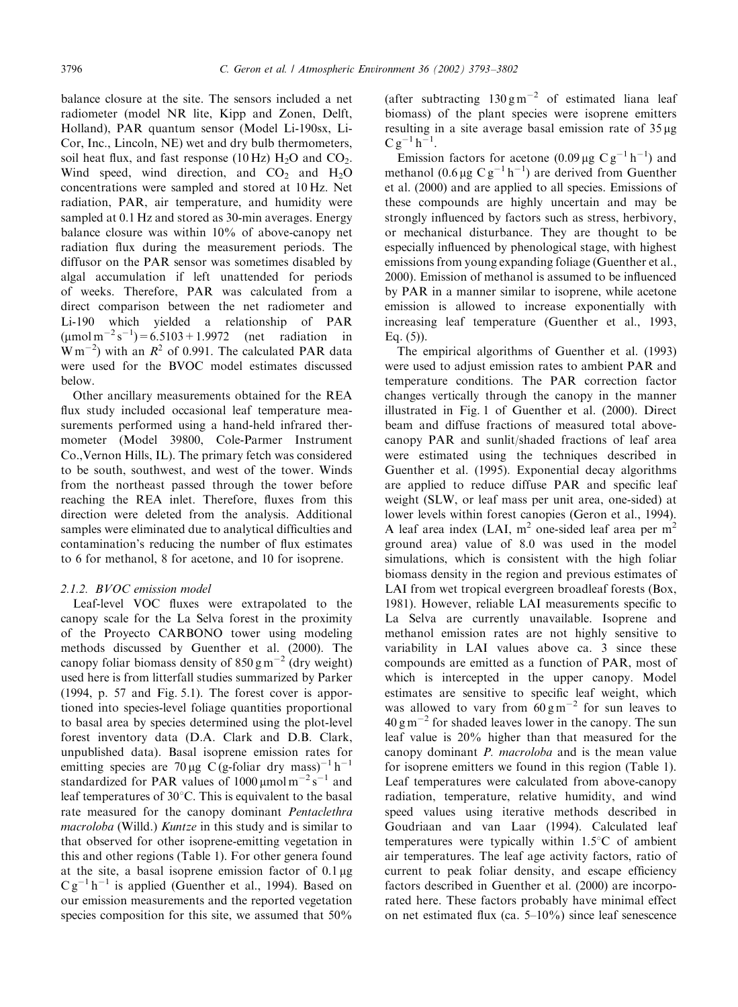balance closure at the site. The sensors included a net radiometer (model NR lite, Kipp and Zonen, Delft, Holland), PAR quantum sensor (Model Li-190sx, Li-Cor, Inc., Lincoln, NE) wet and dry bulb thermometers, soil heat flux, and fast response  $(10 \text{ Hz})$  H<sub>2</sub>O and CO<sub>2</sub>. Wind speed, wind direction, and  $CO<sub>2</sub>$  and  $H<sub>2</sub>O$ concentrations were sampled and stored at 10 Hz. Net radiation, PAR, air temperature, and humidity were sampled at 0.1 Hz and stored as 30-min averages. Energy balance closure was within 10% of above-canopy net radiation flux during the measurement periods. The diffusor on the PAR sensor was sometimes disabled by algal accumulation if left unattended for periods of weeks. Therefore, PAR was calculated from a direct comparison between the net radiometer and Li-190 which yielded a relationship of PAR  $(\text{µmol m}^{-2} \text{ s}^{-1}) = 6.5103 + 1.9972$  (net radiation in  $\text{W m}^{-2}$ ) with an  $\mathbb{R}^2$  of 0.991. The calculated PAR data were used for the BVOC model estimates discussed below.

Other ancillary measurements obtained for the REA flux study included occasional leaf temperature measurements performed using a hand-held infrared thermometer (Model 39800, Cole-Parmer Instrument Co.,Vernon Hills, IL). The primary fetch was considered to be south, southwest, and west of the tower. Winds from the northeast passed through the tower before reaching the REA inlet. Therefore, fluxes from this direction were deleted from the analysis. Additional samples were eliminated due to analytical difficulties and contamination's reducing the number of flux estimates to 6 for methanol, 8 for acetone, and 10 for isoprene.

# 2.1.2. BVOC emission model

Leaf-level VOC fluxes were extrapolated to the canopy scale for the La Selva forest in the proximity of the Proyecto CARBONO tower using modeling methods discussed by Guenther et al. (2000). The canopy foliar biomass density of  $850 \text{ g m}^{-2}$  (dry weight) used here is from litterfall studies summarized by Parker (1994, p. 57 and Fig. 5.1). The forest cover is apportioned into species-level foliage quantities proportional to basal area by species determined using the plot-level forest inventory data (D.A. Clark and D.B. Clark, unpublished data). Basal isoprene emission rates for emitting species are 70 µg C (g-foliar dry mass)<sup>-1</sup> h<sup>-1</sup> standardized for PAR values of  $1000 \mu$ mol m<sup>-2</sup> s<sup>-1</sup> and leaf temperatures of  $30^{\circ}$ C. This is equivalent to the basal rate measured for the canopy dominant Pentaclethra macroloba (Willd.) Kuntze in this study and is similar to that observed for other isoprene-emitting vegetation in this and other regions (Table 1). For other genera found at the site, a basal isoprene emission factor of  $0.1 \mu$ g  $C g^{-1} h^{-1}$  is applied (Guenther et al., 1994). Based on our emission measurements and the reported vegetation species composition for this site, we assumed that 50%

(after subtracting  $130 \text{ g m}^{-2}$  of estimated liana leaf biomass) of the plant species were isoprene emitters resulting in a site average basal emission rate of  $35 \mu g$  $C g^{-1} h^{-1}$ .

Emission factors for acetone  $(0.09 \,\mu g \, C g^{-1} h^{-1})$  and methanol  $(0.6 \,\mu g \, C g^{-1} h^{-1})$  are derived from Guenther et al. (2000) and are applied to all species. Emissions of these compounds are highly uncertain and may be strongly influenced by factors such as stress, herbivory, or mechanical disturbance. They are thought to be especially influenced by phenological stage, with highest emissions from young expanding foliage (Guenther et al., 2000). Emission of methanol is assumed to be influenced by PAR in a manner similar to isoprene, while acetone emission is allowed to increase exponentially with increasing leaf temperature (Guenther et al., 1993, Eq. (5)).

The empirical algorithms of Guenther et al. (1993) were used to adjust emission rates to ambient PAR and temperature conditions. The PAR correction factor changes vertically through the canopy in the manner illustrated in Fig. 1 of Guenther et al. (2000). Direct beam and diffuse fractions of measured total abovecanopy PAR and sunlit/shaded fractions of leaf area were estimated using the techniques described in Guenther et al. (1995). Exponential decay algorithms are applied to reduce diffuse PAR and specific leaf weight (SLW, or leaf mass per unit area, one-sided) at lower levels within forest canopies (Geron et al., 1994). A leaf area index (LAI,  $m^2$  one-sided leaf area per  $m^2$ ground area) value of 8.0 was used in the model simulations, which is consistent with the high foliar biomass density in the region and previous estimates of LAI from wet tropical evergreen broadleaf forests (Box, 1981). However, reliable LAI measurements specific to La Selva are currently unavailable. Isoprene and methanol emission rates are not highly sensitive to variability in LAI values above ca. 3 since these compounds are emitted as a function of PAR, most of which is intercepted in the upper canopy. Model estimates are sensitive to specific leaf weight, which was allowed to vary from  $60 \text{ g m}^{-2}$  for sun leaves to  $40 \text{ g m}^{-2}$  for shaded leaves lower in the canopy. The sun leaf value is 20% higher than that measured for the canopy dominant P. macroloba and is the mean value for isoprene emitters we found in this region (Table 1). Leaf temperatures were calculated from above-canopy radiation, temperature, relative humidity, and wind speed values using iterative methods described in Goudriaan and van Laar (1994). Calculated leaf temperatures were typically within  $1.5^{\circ}$ C of ambient air temperatures. The leaf age activity factors, ratio of current to peak foliar density, and escape efficiency factors described in Guenther et al. (2000) are incorporated here. These factors probably have minimal effect on net estimated flux (ca. 5–10%) since leaf senescence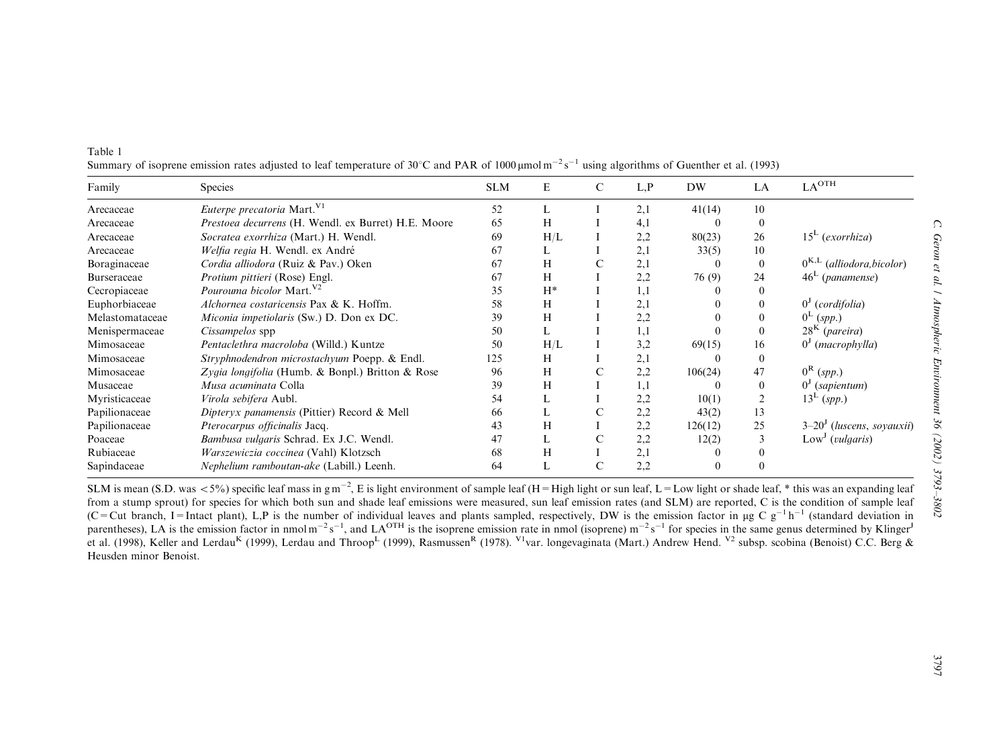| olor)                            | $\cup$<br>$. Genone$ $t$ at. $1$ |
|----------------------------------|----------------------------------|
|                                  |                                  |
|                                  | Environment 36 (2002)            |
| auxii)                           |                                  |
| ig leaf<br>le leaf<br>ion⊹<br>in | 3793-3802                        |

| Family          | Species                                             | <b>SLM</b> | E     | C       | L.P | DW       | LA       | LA <sup>OTH</sup>              |
|-----------------|-----------------------------------------------------|------------|-------|---------|-----|----------|----------|--------------------------------|
| Arecaceae       | Euterpe precatoria Mart. V1                         | 52         |       |         | 2,1 | 41(14)   | 10       |                                |
| Arecaceae       | Prestoea decurrens (H. Wendl. ex Burret) H.E. Moore | 65         | H     |         | 4,1 |          | 0        |                                |
| Arecaceae       | Socratea exorrhiza (Mart.) H. Wendl.                | 69         | H/L   |         | 2,2 | 80(23)   | 26       | $15L$ (exorrhiza)              |
| Arecaceae       | Welfia regia H. Wendl. ex André                     | 67         |       |         | 2,1 | 33(5)    | 10       |                                |
| Boraginaceae    | Cordia alliodora (Ruiz & Pav.) Oken                 | 67         | Н     | С       | 2,1 |          | $\theta$ | $0^{K,L}$ (alliodora, bicolor) |
| Burseraceae     | Protium pittieri (Rose) Engl.                       | 67         | H     |         | 2,2 | 76 (9)   | 24       | $46L$ (panamense)              |
| Cecropiaceae    | <i>Pourouma bicolor</i> Mart. <sup>V2</sup>         | 35         | $H^*$ |         | 1,1 |          | 0        |                                |
| Euphorbiaceae   | Alchornea costaricensis Pax & K. Hoffm.             | 58         | Н     |         | 2,1 |          | 0        | $0J$ (cordifolia)              |
| Melastomataceae | Miconia impetiolaris (Sw.) D. Don ex DC.            | 39         | Н     |         | 2,2 |          | $\theta$ | $0^{\mathrm{L}}$ (spp.)        |
| Menispermaceae  | Cissampelos spp                                     | 50         |       |         | 1,1 |          | $\theta$ | $28K$ (pareira)                |
| Mimosaceae      | Pentaclethra macroloba (Willd.) Kuntze              | 50         | H/L   |         | 3,2 | 69(15)   | 16       | $0J$ (macrophylla)             |
| Mimosaceae      | Stryphnodendron microstachyum Poepp. & Endl.        | 125        | Н     |         | 2,1 |          | $\Omega$ |                                |
| Mimosaceae      | Zygia longifolia (Humb. & Bonpl.) Britton & Rose    | 96         | H     | С       | 2,2 | 106(24)  | 47       | $0^{\rm R}$ (spp.)             |
| Musaceae        | Musa acuminata Colla                                | 39         | Н     |         | 1,1 |          | $\theta$ | $0J$ (sapientum)               |
| Myristicaceae   | Virola sebifera Aubl.                               | 54         | L     |         | 2,2 | 10(1)    | 2        | $13^L (spp.)$                  |
| Papilionaceae   | Dipteryx panamensis (Pittier) Record & Mell         | 66         | L     | С       | 2,2 | 43(2)    | 13       |                                |
| Papilionaceae   | Pterocarpus officinalis Jacq.                       | 43         | Н     |         | 2,2 | 126(12)  | 25       | $3-20J$ (luscens, soyauxii)    |
| Poaceae         | Bambusa vulgaris Schrad. Ex J.C. Wendl.             | 47         | L     | C       | 2,2 | 12(2)    | 3        | Low <sup>J</sup> (vulgaris)    |
| Rubiaceae       | Warszewiczia coccinea (Vahl) Klotzsch               | 68         | Н     | $\perp$ | 2,1 |          |          |                                |
| Sapindaceae     | Nephelium ramboutan-ake (Labill.) Leenh.            | 64         | L     | С       | 2,2 | $\Omega$ | 0        |                                |

Table 1Summary of isoprene emission rates adjusted to leaf temperature of 30°C and PAR of 1000  $\mu$ mol m<sup>-2</sup> s<sup>-1</sup> using algorithms of Guenther et al. (1993)

SLM is mean (S.D. was <5%) specific leaf mass in g m<sup>-2</sup>, E is light environment of sample leaf (H=High light or sun leaf, L=Low light or shade leaf, \* this was an expanding from a stump sprout) for species for which both sun and shade leaf emissions were measured, sun leaf emission rates (and SLM) are reported, C is the condition of sample leaf (C=Cut branch, I=Intact plant), L,P is the number of individual leaves and plants sampled, respectively, DW is the emission factor in  $\mu$ g C  $g^{-1}h^{-1}$  (standard deviation in parentheses), LA is the emission factor in nmol m<sup>-2</sup> s<sup>-1</sup>, and LA<sup>OTH</sup> is the isoprene emission rate in nmol (isoprene) m<sup>-2</sup> s<sup>-1</sup> for species in the same genus determined by Klinger et al. (1998), Keller and Lerdau<sup>K</sup> (1999), Lerdau and Throop<sup>L</sup> (1999), Rasmussen<sup>R</sup> (1978). <sup>V1</sup>var. longevaginata (Mart.) Andrew Hend. <sup>V2</sup> subsp. scobina (Benoist) C.C. Berg & Heusden minor Benoist.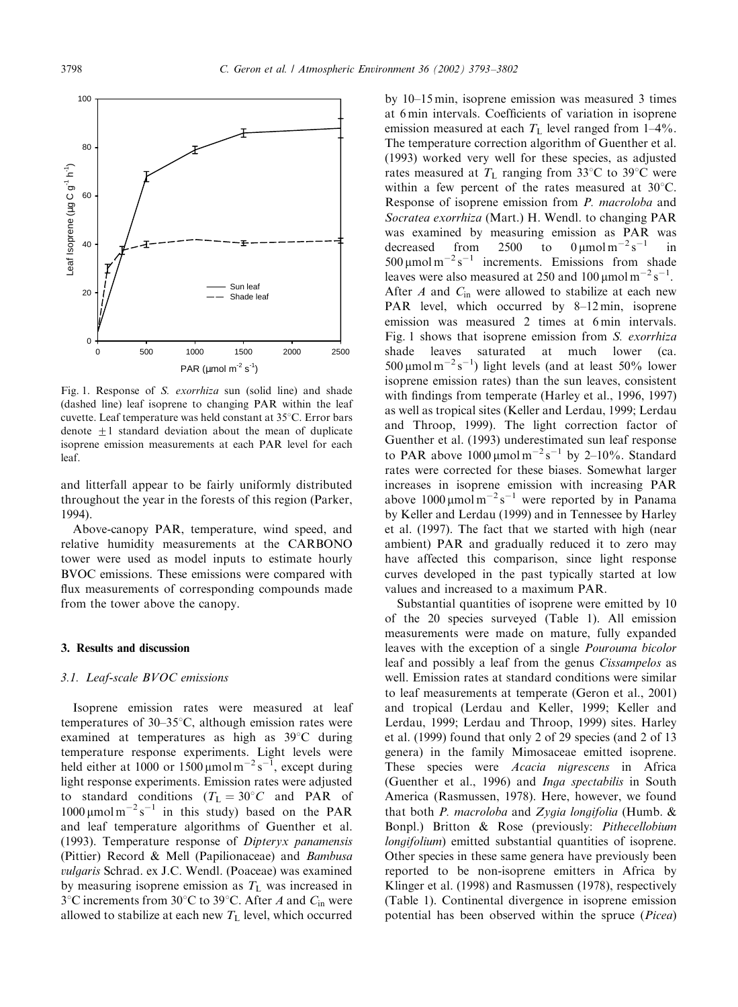

Fig. 1. Response of S. exorrhiza sun (solid line) and shade (dashed line) leaf isoprene to changing PAR within the leaf cuvette. Leaf temperature was held constant at  $35^{\circ}$ C. Error bars denote  $+1$  standard deviation about the mean of duplicate isoprene emission measurements at each PAR level for each leaf.

and litterfall appear to be fairly uniformly distributed throughout the year in the forests of this region (Parker, 1994).

Above-canopy PAR, temperature, wind speed, and relative humidity measurements at the CARBONO tower were used as model inputs to estimate hourly BVOC emissions. These emissions were compared with flux measurements of corresponding compounds made from the tower above the canopy.

## 3. Results and discussion

#### 3.1. Leaf-scale BVOC emissions

Isoprene emission rates were measured at leaf temperatures of  $30-35^{\circ}$ C, although emission rates were examined at temperatures as high as  $39^{\circ}$ C during temperature response experiments. Light levels were held either at 1000 or 1500  $\mu$ mol m<sup>-2</sup> s<sup>-1</sup>, except during light response experiments. Emission rates were adjusted to standard conditions ( $T_L = 30^{\circ}C$  and PAR of  $1000 \mu$ mol m<sup>-2</sup> s<sup>-1</sup> in this study) based on the PAR and leaf temperature algorithms of Guenther et al. (1993). Temperature response of Dipteryx panamensis (Pittier) Record & Mell (Papilionaceae) and Bambusa vulgaris Schrad. ex J.C. Wendl. (Poaceae) was examined by measuring isoprene emission as  $T_L$  was increased in  $3^{\circ}$ C increments from  $30^{\circ}$ C to  $39^{\circ}$ C. After A and  $C_{\text{in}}$  were allowed to stabilize at each new  $T<sub>L</sub>$  level, which occurred

by 10–15 min, isoprene emission was measured 3 times at 6 min intervals. Coefficients of variation in isoprene emission measured at each  $T<sub>L</sub>$  level ranged from 1–4%. The temperature correction algorithm of Guenther et al. (1993) worked very well for these species, as adjusted rates measured at  $T_L$  ranging from 33°C to 39°C were within a few percent of the rates measured at  $30^{\circ}$ C. Response of isoprene emission from P. macroloba and Socratea exorrhiza (Mart.) H. Wendl. to changing PAR was examined by measuring emission as PAR was decreased from 2500 to  $0 \mu \text{mol m}^{-2} \text{s}^{-1}$  in 500  $\mu$ mol m<sup>-2</sup> s<sup>-1</sup> increments. Emissions from shade leaves were also measured at 250 and 100  $\mu$ mol m<sup>-2</sup> s<sup>-1</sup>. After  $A$  and  $C_{\text{in}}$  were allowed to stabilize at each new PAR level, which occurred by 8–12 min, isoprene emission was measured 2 times at 6 min intervals. Fig. 1 shows that isoprene emission from S. exorrhiza shade leaves saturated at much lower (ca.  $500 \mu$ mol m<sup>-2</sup>s<sup>-1</sup>) light levels (and at least 50% lower isoprene emission rates) than the sun leaves, consistent with findings from temperate (Harley et al., 1996, 1997) as well as tropical sites (Keller and Lerdau, 1999; Lerdau and Throop, 1999). The light correction factor of Guenther et al. (1993) underestimated sun leaf response to PAR above  $1000 \mu \text{mol m}^{-2} \text{s}^{-1}$  by 2–10%. Standard rates were corrected for these biases. Somewhat larger increases in isoprene emission with increasing PAR above  $1000 \mu \text{mol m}^{-2} \text{s}^{-1}$  were reported by in Panama by Keller and Lerdau (1999) and in Tennessee by Harley et al. (1997). The fact that we started with high (near ambient) PAR and gradually reduced it to zero may have affected this comparison, since light response curves developed in the past typically started at low values and increased to a maximum PAR.

Substantial quantities of isoprene were emitted by 10 of the 20 species surveyed (Table 1). All emission measurements were made on mature, fully expanded leaves with the exception of a single Pourouma bicolor leaf and possibly a leaf from the genus Cissampelos as well. Emission rates at standard conditions were similar to leaf measurements at temperate (Geron et al., 2001) and tropical (Lerdau and Keller, 1999; Keller and Lerdau, 1999; Lerdau and Throop, 1999) sites. Harley et al. (1999) found that only 2 of 29 species (and 2 of 13 genera) in the family Mimosaceae emitted isoprene. These species were *Acacia nigrescens* in Africa (Guenther et al., 1996) and Inga spectabilis in South America (Rasmussen, 1978). Here, however, we found that both P. macroloba and Zygia longifolia (Humb.  $\&$ Bonpl.) Britton & Rose (previously: Pithecellobium longifolium) emitted substantial quantities of isoprene. Other species in these same genera have previously been reported to be non-isoprene emitters in Africa by Klinger et al. (1998) and Rasmussen (1978), respectively (Table 1). Continental divergence in isoprene emission potential has been observed within the spruce (Picea)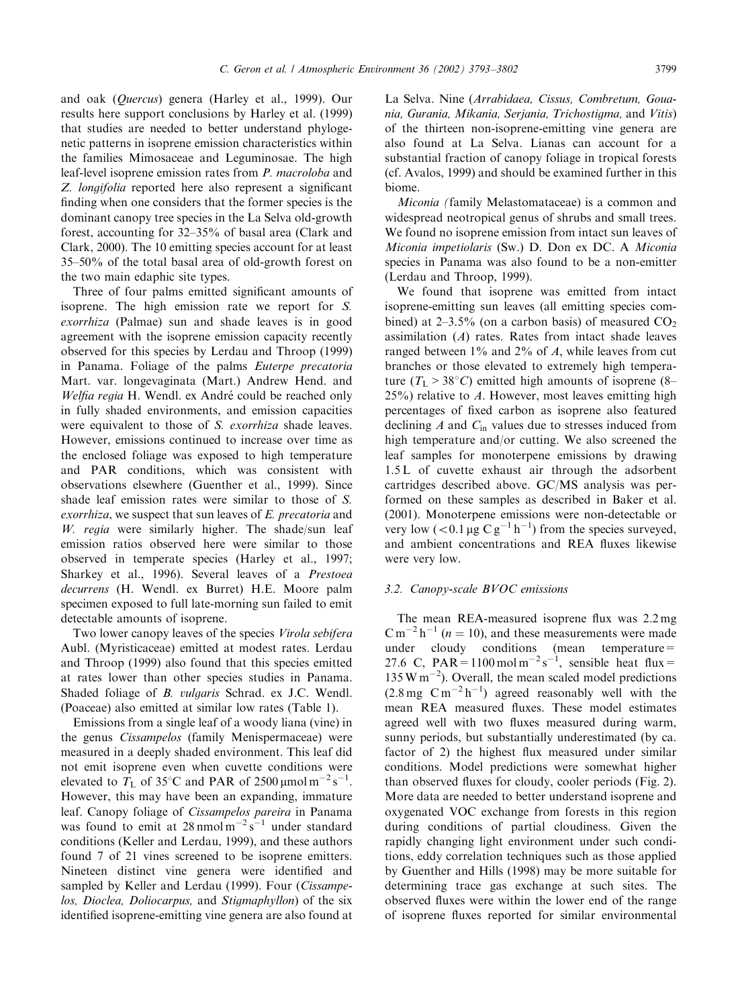and oak (Quercus) genera (Harley et al., 1999). Our results here support conclusions by Harley et al. (1999) that studies are needed to better understand phylogenetic patterns in isoprene emission characteristics within the families Mimosaceae and Leguminosae. The high leaf-level isoprene emission rates from P. macroloba and Z. longifolia reported here also represent a significant finding when one considers that the former species is the dominant canopy tree species in the La Selva old-growth forest, accounting for 32–35% of basal area (Clark and Clark, 2000). The 10 emitting species account for at least 35–50% of the total basal area of old-growth forest on the two main edaphic site types.

Three of four palms emitted significant amounts of isoprene. The high emission rate we report for S. exorrhiza (Palmae) sun and shade leaves is in good agreement with the isoprene emission capacity recently observed for this species by Lerdau and Throop (1999) in Panama. Foliage of the palms Euterpe precatoria Mart. var. longevaginata (Mart.) Andrew Hend. and Welfia regia H. Wendl. ex André could be reached only in fully shaded environments, and emission capacities were equivalent to those of S. exorrhiza shade leaves. However, emissions continued to increase over time as the enclosed foliage was exposed to high temperature and PAR conditions, which was consistent with observations elsewhere (Guenther et al., 1999). Since shade leaf emission rates were similar to those of S. exorrhiza, we suspect that sun leaves of E. precatoria and W. regia were similarly higher. The shade/sun leaf emission ratios observed here were similar to those observed in temperate species (Harley et al., 1997; Sharkey et al., 1996). Several leaves of a Prestoea decurrens (H. Wendl. ex Burret) H.E. Moore palm specimen exposed to full late-morning sun failed to emit detectable amounts of isoprene.

Two lower canopy leaves of the species Virola sebifera Aubl. (Myristicaceae) emitted at modest rates. Lerdau and Throop (1999) also found that this species emitted at rates lower than other species studies in Panama. Shaded foliage of B. vulgaris Schrad. ex J.C. Wendl. (Poaceae) also emitted at similar lowrates (Table 1).

Emissions from a single leaf of a woody liana (vine) in the genus Cissampelos (family Menispermaceae) were measured in a deeply shaded environment. This leaf did not emit isoprene even when cuvette conditions were elevated to  $T_{\rm L}$  of 35°C and PAR of 2500 µmol m<sup>-2</sup> s<sup>-1</sup>. However, this may have been an expanding, immature leaf. Canopy foliage of Cissampelos pareira in Panama was found to emit at  $28 \text{ nmol m}^{-2} \text{s}^{-1}$  under standard conditions (Keller and Lerdau, 1999), and these authors found 7 of 21 vines screened to be isoprene emitters. Nineteen distinct vine genera were identified and sampled by Keller and Lerdau (1999). Four (Cissampelos, Dioclea, Doliocarpus, and Stigmaphyllon) of the six identified isoprene-emitting vine genera are also found at

La Selva. Nine (Arrabidaea, Cissus, Combretum, Gouania, Gurania, Mikania, Serjania, Trichostigma, and Vitis) of the thirteen non-isoprene-emitting vine genera are also found at La Selva. Lianas can account for a substantial fraction of canopy foliage in tropical forests (cf. Avalos, 1999) and should be examined further in this biome.

Miconia (family Melastomataceae) is a common and widespread neotropical genus of shrubs and small trees. We found no isoprene emission from intact sun leaves of Miconia impetiolaris (Sw.) D. Don ex DC. A Miconia species in Panama was also found to be a non-emitter (Lerdau and Throop, 1999).

We found that isoprene was emitted from intact isoprene-emitting sun leaves (all emitting species combined) at  $2-3.5\%$  (on a carbon basis) of measured CO<sub>2</sub> assimilation  $(A)$  rates. Rates from intact shade leaves ranged between  $1\%$  and  $2\%$  of A, while leaves from cut branches or those elevated to extremely high temperature  $(T_L > 38^{\circ}C)$  emitted high amounts of isoprene (8–  $25\%$ ) relative to A. However, most leaves emitting high percentages of fixed carbon as isoprene also featured declining  $A$  and  $C_{\text{in}}$  values due to stresses induced from high temperature and/or cutting. We also screened the leaf samples for monoterpene emissions by drawing 1.5 L of cuvette exhaust air through the adsorbent cartridges described above. GC/MS analysis was performed on these samples as described in Baker et al. (2001). Monoterpene emissions were non-detectable or very low  $(< 0.1 \,\mu g \, C \, g^{-1} \, h^{-1})$  from the species surveyed, and ambient concentrations and REA fluxes likewise were very low.

#### 3.2. Canopy-scale BVOC emissions

The mean REA-measured isoprene flux was 2.2 mg  $\text{C m}^{-2} \text{h}^{-1}$  (*n* = 10), and these measurements were made under cloudy conditions (mean temperature= 27.6 C,  $PAR = 1100 \text{ mol m}^{-2} \text{s}^{-1}$ , sensible heat flux =  $135 \text{ W m}^{-2}$ ). Overall, the mean scaled model predictions  $(2.8 \text{ mg } \text{C/m}^{-2} \text{h}^{-1})$  agreed reasonably well with the mean REA measured fluxes. These model estimates agreed well with two fluxes measured during warm, sunny periods, but substantially underestimated (by ca. factor of 2) the highest flux measured under similar conditions. Model predictions were somewhat higher than observed fluxes for cloudy, cooler periods (Fig. 2). More data are needed to better understand isoprene and oxygenated VOC exchange from forests in this region during conditions of partial cloudiness. Given the rapidly changing light environment under such conditions, eddy correlation techniques such as those applied by Guenther and Hills (1998) may be more suitable for determining trace gas exchange at such sites. The observed fluxes were within the lower end of the range of isoprene fluxes reported for similar environmental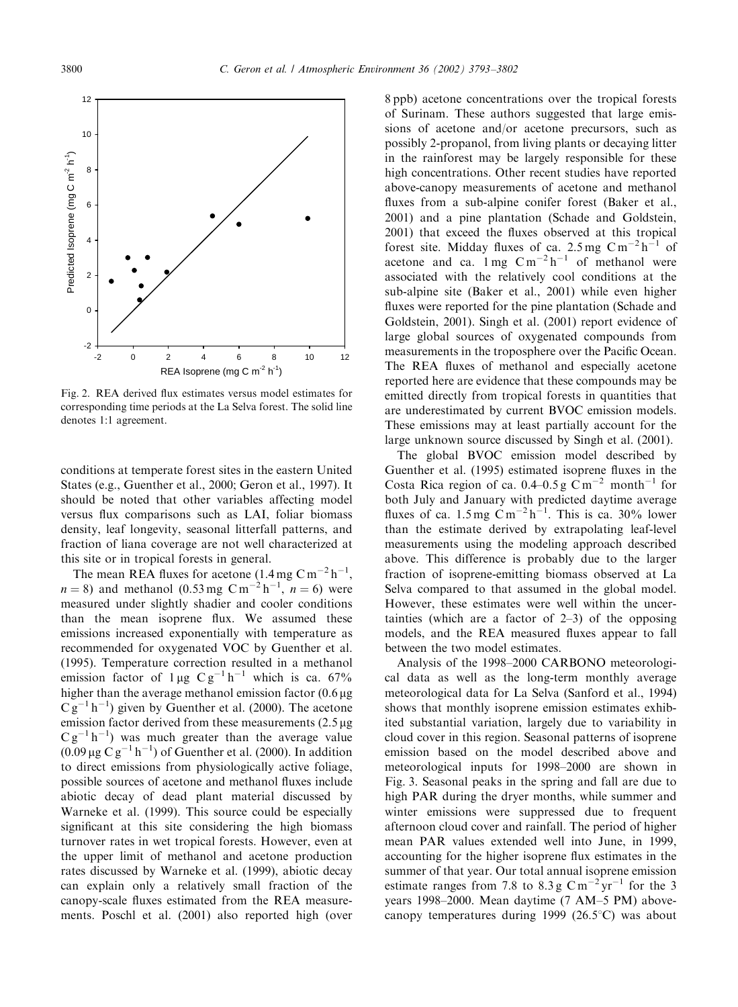

Fig. 2. REA derived flux estimates versus model estimates for corresponding time periods at the La Selva forest. The solid line denotes 1:1 agreement.

conditions at temperate forest sites in the eastern United States (e.g., Guenther et al., 2000; Geron et al., 1997). It should be noted that other variables affecting model versus flux comparisons such as LAI, foliar biomass density, leaf longevity, seasonal litterfall patterns, and fraction of liana coverage are not well characterized at this site or in tropical forests in general.

The mean REA fluxes for acetone  $(1.4 \text{ mg } \text{C m}^{-2} \text{h}^{-1})$ ,  $n = 8$ ) and methanol (0.53 mg C m<sup>-2</sup> h<sup>-1</sup>,  $n = 6$ ) were measured under slightly shadier and cooler conditions than the mean isoprene flux. We assumed these emissions increased exponentially with temperature as recommended for oxygenated VOC by Guenther et al. (1995). Temperature correction resulted in a methanol emission factor of  $1 \mu g C g^{-1} h^{-1}$  which is ca. 67% higher than the average methanol emission factor  $(0.6 \,\mu g)$  $C g^{-1} h^{-1}$ ) given by Guenther et al. (2000). The acetone emission factor derived from these measurements  $(2.5 \mu g)$  $C g^{-1} h^{-1}$ ) was much greater than the average value  $(0.09 \,\mu g \, C g^{-1} h^{-1})$  of Guenther et al. (2000). In addition to direct emissions from physiologically active foliage, possible sources of acetone and methanol fluxes include abiotic decay of dead plant material discussed by Warneke et al. (1999). This source could be especially significant at this site considering the high biomass turnover rates in wet tropical forests. However, even at the upper limit of methanol and acetone production rates discussed by Warneke et al. (1999), abiotic decay can explain only a relatively small fraction of the canopy-scale fluxes estimated from the REA measurements. Poschl et al. (2001) also reported high (over

8 ppb) acetone concentrations over the tropical forests of Surinam. These authors suggested that large emissions of acetone and/or acetone precursors, such as possibly 2-propanol, from living plants or decaying litter in the rainforest may be largely responsible for these high concentrations. Other recent studies have reported above-canopy measurements of acetone and methanol fluxes from a sub-alpine conifer forest (Baker et al., 2001) and a pine plantation (Schade and Goldstein, 2001) that exceed the fluxes observed at this tropical forest site. Midday fluxes of ca.  $2.5 \text{ mg } \text{C m}^{-2} \text{h}^{-1}$  of acetone and ca.  $1 \text{ mg } \text{C} \text{m}^{-2} \text{h}^{-1}$  of methanol were associated with the relatively cool conditions at the sub-alpine site (Baker et al., 2001) while even higher fluxes were reported for the pine plantation (Schade and Goldstein, 2001). Singh et al. (2001) report evidence of large global sources of oxygenated compounds from measurements in the troposphere over the Pacific Ocean. The REA fluxes of methanol and especially acetone reported here are evidence that these compounds may be emitted directly from tropical forests in quantities that are underestimated by current BVOC emission models. These emissions may at least partially account for the large unknown source discussed by Singh et al. (2001).

The global BVOC emission model described by Guenther et al. (1995) estimated isoprene fluxes in the Costa Rica region of ca. 0.4–0.5 g C m<sup>-2</sup> month<sup>-1</sup> for both July and January with predicted daytime average fluxes of ca.  $1.5 \text{ mg } \text{C} \text{m}^{-2} \text{h}^{-1}$ . This is ca. 30% lower than the estimate derived by extrapolating leaf-level measurements using the modeling approach described above. This difference is probably due to the larger fraction of isoprene-emitting biomass observed at La Selva compared to that assumed in the global model. However, these estimates were well within the uncertainties (which are a factor of  $2-3$ ) of the opposing models, and the REA measured fluxes appear to fall between the two model estimates.

Analysis of the 1998–2000 CARBONO meteorological data as well as the long-term monthly average meteorological data for La Selva (Sanford et al., 1994) shows that monthly isoprene emission estimates exhibited substantial variation, largely due to variability in cloud cover in this region. Seasonal patterns of isoprene emission based on the model described above and meteorological inputs for 1998–2000 are shown in Fig. 3. Seasonal peaks in the spring and fall are due to high PAR during the dryer months, while summer and winter emissions were suppressed due to frequent afternoon cloud cover and rainfall. The period of higher mean PAR values extended well into June, in 1999, accounting for the higher isoprene flux estimates in the summer of that year. Our total annual isoprene emission estimate ranges from 7.8 to 8.3 g  $\text{C m}^{-2} \text{yr}^{-1}$  for the 3 years 1998–2000. Mean daytime (7 AM–5 PM) abovecanopy temperatures during 1999 (26.5 $\degree$ C) was about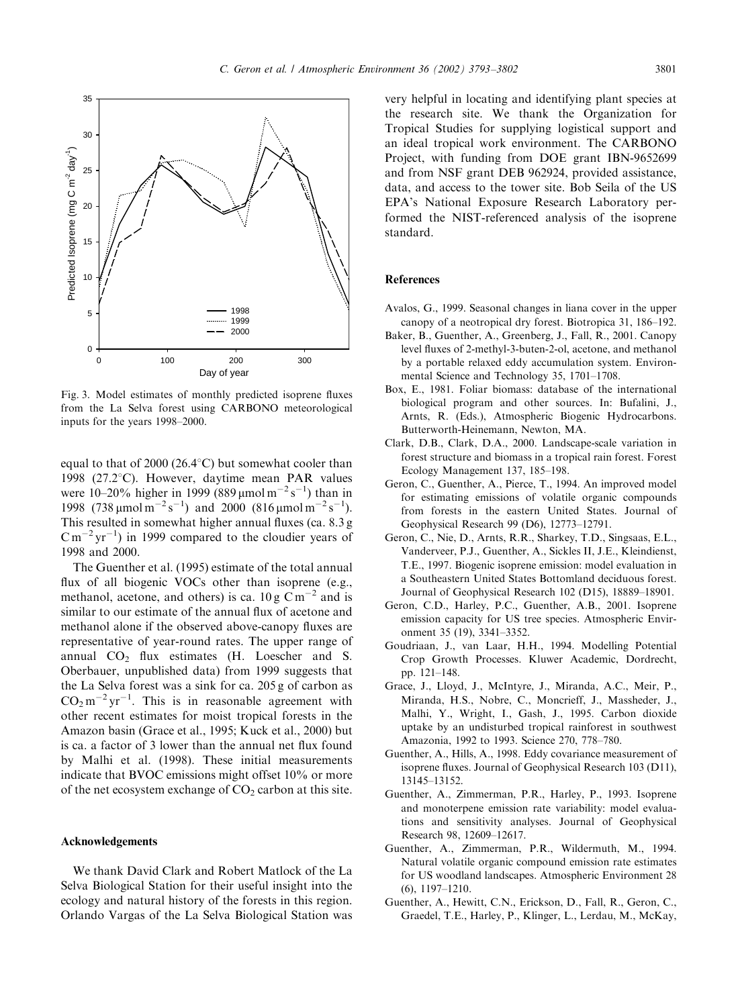

Fig. 3. Model estimates of monthly predicted isoprene fluxes from the La Selva forest using CARBONO meteorological inputs for the years 1998–2000.

equal to that of 2000 (26.4 $\degree$ C) but somewhat cooler than 1998 (27.2 $^{\circ}$ C). However, daytime mean PAR values were 10–20% higher in 1999 (889  $\mu$ mol m<sup>-2</sup> s<sup>-1</sup>) than in 1998 (738  $\mu$ mol m<sup>-2</sup> s<sup>-1</sup>) and 2000 (816  $\mu$ mol m<sup>-2</sup> s<sup>-1</sup>). This resulted in somewhat higher annual fluxes (ca. 8.3 g  $\text{C m}^{-2} \text{yr}^{-1}$ ) in 1999 compared to the cloudier years of 1998 and 2000.

The Guenther et al. (1995) estimate of the total annual flux of all biogenic VOCs other than isoprene (e.g., methanol, acetone, and others) is ca.  $10 \text{ g} \text{ C m}^{-2}$  and is similar to our estimate of the annual flux of acetone and methanol alone if the observed above-canopy fluxes are representative of year-round rates. The upper range of annual CO<sub>2</sub> flux estimates (H. Loescher and S. Oberbauer, unpublished data) from 1999 suggests that the La Selva forest was a sink for ca. 205 g of carbon as  $CO<sub>2</sub> m<sup>-2</sup> yr<sup>-1</sup>$ . This is in reasonable agreement with other recent estimates for moist tropical forests in the Amazon basin (Grace et al., 1995; Kuck et al., 2000) but is ca. a factor of 3 lower than the annual net flux found by Malhi et al. (1998). These initial measurements indicate that BVOC emissions might offset 10% or more of the net ecosystem exchange of  $CO<sub>2</sub>$  carbon at this site.

#### Acknowledgements

We thank David Clark and Robert Matlock of the La Selva Biological Station for their useful insight into the ecology and natural history of the forests in this region. Orlando Vargas of the La Selva Biological Station was

very helpful in locating and identifying plant species at the research site. We thank the Organization for Tropical Studies for supplying logistical support and an ideal tropical work environment. The CARBONO Project, with funding from DOE grant IBN-9652699 and from NSF grant DEB 962924, provided assistance, data, and access to the tower site. Bob Seila of the US EPA's National Exposure Research Laboratory performed the NIST-referenced analysis of the isoprene standard.

# References

- Avalos, G., 1999. Seasonal changes in liana cover in the upper canopy of a neotropical dry forest. Biotropica 31, 186–192.
- Baker, B., Guenther, A., Greenberg, J., Fall, R., 2001. Canopy level fluxes of 2-methyl-3-buten-2-ol, acetone, and methanol by a portable relaxed eddy accumulation system. Environmental Science and Technology 35, 1701–1708.
- Box, E., 1981. Foliar biomass: database of the international biological program and other sources. In: Bufalini, J., Arnts, R. (Eds.), Atmospheric Biogenic Hydrocarbons. Butterworth-Heinemann, Newton, MA.
- Clark, D.B., Clark, D.A., 2000. Landscape-scale variation in forest structure and biomass in a tropical rain forest. Forest Ecology Management 137, 185–198.
- Geron, C., Guenther, A., Pierce, T., 1994. An improved model for estimating emissions of volatile organic compounds from forests in the eastern United States. Journal of Geophysical Research 99 (D6), 12773–12791.
- Geron, C., Nie, D., Arnts, R.R., Sharkey, T.D., Singsaas, E.L., Vanderveer, P.J., Guenther, A., Sickles II, J.E., Kleindienst, T.E., 1997. Biogenic isoprene emission: model evaluation in a Southeastern United States Bottomland deciduous forest. Journal of Geophysical Research 102 (D15), 18889–18901.
- Geron, C.D., Harley, P.C., Guenther, A.B., 2001. Isoprene emission capacity for US tree species. Atmospheric Environment 35 (19), 3341–3352.
- Goudriaan, J., van Laar, H.H., 1994. Modelling Potential Crop Growth Processes. Kluwer Academic, Dordrecht, pp. 121–148.
- Grace, J., Lloyd, J., McIntyre, J., Miranda, A.C., Meir, P., Miranda, H.S., Nobre, C., Moncrieff, J., Massheder, J., Malhi, Y., Wright, I., Gash, J., 1995. Carbon dioxide uptake by an undisturbed tropical rainforest in southwest Amazonia, 1992 to 1993. Science 270, 778–780.
- Guenther, A., Hills, A., 1998. Eddy covariance measurement of isoprene fluxes. Journal of Geophysical Research 103 (D11), 13145–13152.
- Guenther, A., Zimmerman, P.R., Harley, P., 1993. Isoprene and monoterpene emission rate variability: model evaluations and sensitivity analyses. Journal of Geophysical Research 98, 12609–12617.
- Guenther, A., Zimmerman, P.R., Wildermuth, M., 1994. Natural volatile organic compound emission rate estimates for US woodland landscapes. Atmospheric Environment 28 (6), 1197–1210.
- Guenther, A., Hewitt, C.N., Erickson, D., Fall, R., Geron, C., Graedel, T.E., Harley, P., Klinger, L., Lerdau, M., McKay,